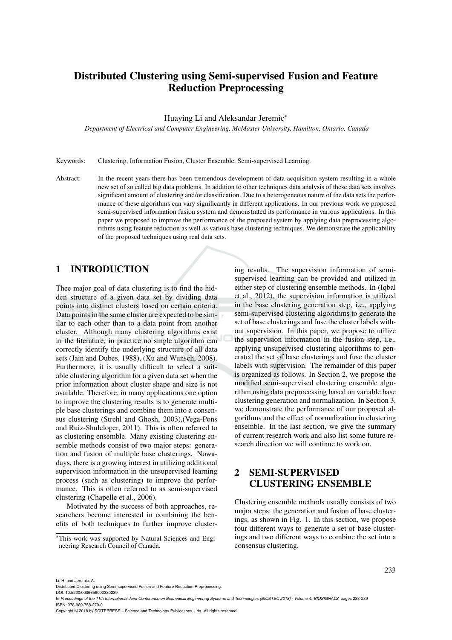# Distributed Clustering using Semi-supervised Fusion and Feature Reduction Preprocessing

Huaying Li and Aleksandar Jeremic<sup>∗</sup>

*Department of Electrical and Computer Engineering, McMaster University, Hamilton, Ontario, Canada*

Keywords: Clustering, Information Fusion, Cluster Ensemble, Semi-supervised Learning.

Abstract: In the recent years there has been tremendous development of data acquisition system resulting in a whole new set of so called big data problems. In addition to other techniques data analysis of these data sets involves significant amount of clustering and/or classification. Due to a heterogeneous nature of the data sets the performance of these algorithms can vary significantly in different applications. In our previous work we proposed semi-supervised information fusion system and demonstrated its performance in various applications. In this paper we proposed to improve the performance of the proposed system by applying data preprocessing algorithms using feature reduction as well as various base clustering techniques. We demonstrate the applicability of the proposed techniques using real data sets.

## 1 INTRODUCTION

Thee major goal of data clustering is to find the hidden structure of a given data set by dividing data points into distinct clusters based on certain criteria. Data points in the same cluster are expected to be similar to each other than to a data point from another cluster. Although many clustering algorithms exist in the literature, in practice no single algorithm can correctly identify the underlying structure of all data sets (Jain and Dubes, 1988), (Xu and Wunsch, 2008). Furthermore, it is usually difficult to select a suitable clustering algorithm for a given data set when the prior information about cluster shape and size is not available. Therefore, in many applications one option to improve the clustering results is to generate multiple base clusterings and combine them into a consensus clustering (Strehl and Ghosh, 2003),(Vega-Pons and Ruiz-Shulcloper, 2011). This is often referred to as clustering ensemble. Many existing clustering ensemble methods consist of two major steps: generation and fusion of multiple base clusterings. Nowadays, there is a growing interest in utilizing additional supervision information in the unsupervised learning process (such as clustering) to improve the performance. This is often referred to as semi-supervised clustering (Chapelle et al., 2006).

Motivated by the success of both approaches, researchers become interested in combining the benefits of both techniques to further improve clustering results. The supervision information of semisupervised learning can be provided and utilized in either step of clustering ensemble methods. In (Iqbal et al., 2012), the supervision information is utilized in the base clustering generation step, i.e., applying semi-supervised clustering algorithms to generate the set of base clusterings and fuse the cluster labels without supervision. In this paper, we propose to utilize the supervision information in the fusion step, i.e., applying unsupervised clustering algorithms to generated the set of base clusterings and fuse the cluster labels with supervision. The remainder of this paper is organized as follows. In Section 2, we propose the modified semi-supervised clustering ensemble algorithm using data preprocessing based on variable base clustering generation and normalization. In Section 3, we demonstrate the performance of our proposed algorithms and the effect of normalization in clustering ensemble. In the last section, we give the summary of current research work and also list some future research direction we will continue to work on.

## 2 SEMI-SUPERVISED CLUSTERING ENSEMBLE

Clustering ensemble methods usually consists of two major steps: the generation and fusion of base clusterings, as shown in Fig. 1. In this section, we propose four different ways to generate a set of base clusterings and two different ways to combine the set into a consensus clustering.

DOI: 10.5220/0006658002330239

Copyright © 2018 by SCITEPRESS – Science and Technology Publications, Lda. All rights reserved

<sup>∗</sup>This work was supported by Natural Sciences and Engineering Research Council of Canada.

Li, H. and Jeremic, A.

Distributed Clustering using Semi-supervised Fusion and Feature Reduction Preprocessing.

In Proceedings of the 11th International Joint Conference on Biomedical Engineering Systems and Technologies (BIOSTEC 2018) - Volume 4: BIOSIGNALS, pages 233-239 ISBN: 978-989-758-279-0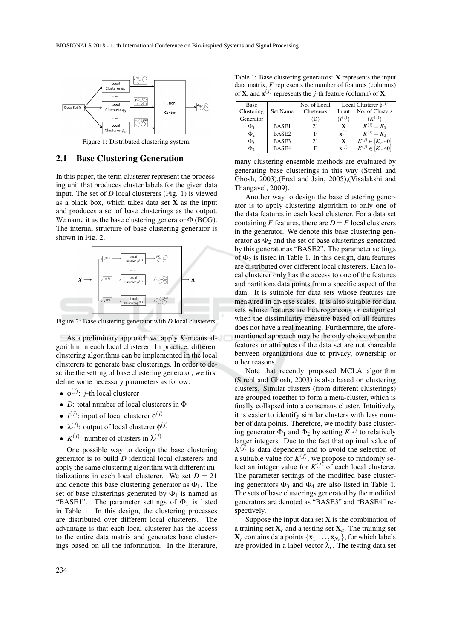

Figure 1: Distributed clustering system.

#### 2.1 Base Clustering Generation

In this paper, the term clusterer represent the processing unit that produces cluster labels for the given data input. The set of *D* local clusterers (Fig. 1) is viewed as a black box, which takes data set  $X$  as the input and produces a set of base clusterings as the output. We name it as the base clustering generator  $\Phi$  (BCG). The internal structure of base clustering generator is shown in Fig. 2.



Figure 2: Base clustering generator with *D* local clusterers.

As a preliminary approach we apply *K*-means algorithm in each local clusterer. In practice, different clustering algorithms can be implemented in the local clusterers to generate base clusterings. In order to describe the setting of base clustering generator, we first define some necessary parameters as follow:

- $\bullet \phi^{(j)}$ : *j*-th local clusterer
- *D*: total number of local clusterers in Φ
- $I^{(j)}$ : input of local clusterer  $\phi^{(j)}$
- $\lambda^{(j)}$ : output of local clusterer  $\phi^{(j)}$
- $K^{(j)}$ : number of clusters in  $\lambda^{(j)}$

One possible way to design the base clustering generator is to build *D* identical local clusterers and apply the same clustering algorithm with different initializations in each local clusterer. We set  $D = 21$ and denote this base clustering generator as  $\Phi_1$ . The set of base clusterings generated by  $\Phi_1$  is named as "BASE1". The parameter settings of  $\Phi_1$  is listed in Table 1. In this design, the clustering processes are distributed over different local clusterers. The advantage is that each local clusterer has the access to the entire data matrix and generates base clusterings based on all the information. In the literature,

| Base       |          | No. of Local      | Local Clusterer $\phi^{(J)}$ |                          |
|------------|----------|-------------------|------------------------------|--------------------------|
| Clustering | Set Name | <b>Clusterers</b> | Input                        | No. of Clusters          |
| Generator  |          | ιD.               | $\mathcal{I}(j)$             |                          |
| $\Phi_1$   | BASE1    | 21                | X                            | $\overline{K^{(j)}}=K_0$ |
| $\Phi$     | BASE2    |                   | $\mathbf{x}^{(j)}$           | $K^{(j)} = K_0$          |
| $\Phi_3$   | BASE3    | 21                | X                            | $K^{(j)}\in[K_0,40]$     |
| $\Phi_4$   | BASE4    |                   | $\mathbf{v}^{(j)}$           | $K^{(j)} \in [K_0, 40]$  |

many clustering ensemble methods are evaluated by generating base clusterings in this way (Strehl and Ghosh, 2003),(Fred and Jain, 2005),(Visalakshi and Thangavel, 2009).

Another way to design the base clustering generator is to apply clustering algorithm to only one of the data features in each local clusterer. For a data set containing *F* features, there are  $D = F$  local clusterers in the generator. We denote this base clustering generator as  $\Phi_2$  and the set of base clusterings generated by this generator as "BASE2". The parameter settings of  $\Phi_2$  is listed in Table 1. In this design, data features are distributed over different local clusterers. Each local clusterer only has the access to one of the features and partitions data points from a specific aspect of the data. It is suitable for data sets whose features are measured in diverse scales. It is also suitable for data sets whose features are heterogeneous or categorical when the dissimilarity measure based on all features does not have a real meaning. Furthermore, the aforementioned approach may be the only choice when the features or attributes of the data set are not shareable between organizations due to privacy, ownership or other reasons.

Note that recently proposed MCLA algorithm (Strehl and Ghosh, 2003) is also based on clustering clusters. Similar clusters (from different clusterings) are grouped together to form a meta-cluster, which is finally collapsed into a consensus cluster. Intuitively, it is easier to identify similar clusters with less number of data points. Therefore, we modify base clustering generator  $\Phi_1$  and  $\Phi_2$  by setting  $K^{(j)}$  to relatively larger integers. Due to the fact that optimal value of  $K^{(j)}$  is data dependent and to avoid the selection of a suitable value for  $K^{(j)}$ , we propose to randomly select an integer value for  $K^{(j)}$  of each local clusterer. The parameter settings of the modified base clustering generators  $\Phi_3$  and  $\Phi_4$  are also listed in Table 1. The sets of base clusterings generated by the modified generators are denoted as "BASE3" and "BASE4" respectively.

Suppose the input data set  $X$  is the combination of a training set  $X_r$  and a testing set  $X_u$ . The training set  $X_r$  contains data points  $\{x_1, \ldots, x_{N_r}\}$ , for which labels are provided in a label vector  $\lambda_r$ . The testing data set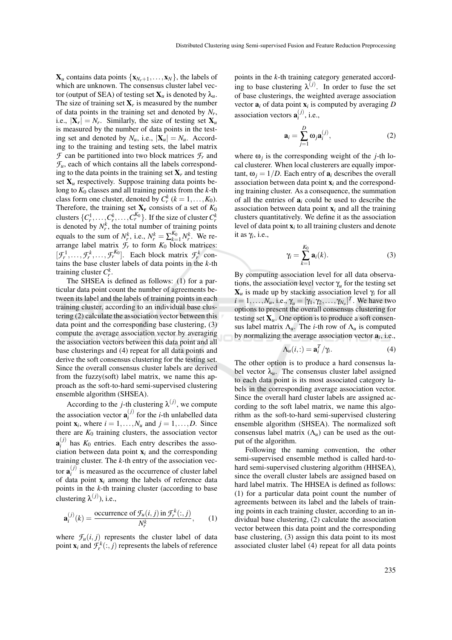$\mathbf{X}_u$  contains data points  $\{\mathbf{x}_{N_r+1},\ldots,\mathbf{x}_N\}$ , the labels of which are unknown. The consensus cluster label vector (output of SEA) of testing set  $X_u$  is denoted by  $\lambda_u$ . The size of training set  $X_r$  is measured by the number of data points in the training set and denoted by *N<sup>r</sup>* , i.e.,  $|\mathbf{X}_r| = N_r$ . Similarly, the size of testing set  $\mathbf{X}_u$ is measured by the number of data points in the testing set and denoted by  $N_u$ , i.e.,  $|\mathbf{X}_u| = N_u$ . According to the training and testing sets, the label matrix  $\mathcal F$  can be partitioned into two block matrices  $\mathcal F_r$  and  $\mathcal{F}_u$ , each of which contains all the labels corresponding to the data points in the training set  $X_r$  and testing set  $X_u$  respectively. Suppose training data points belong to  $K_0$  classes and all training points from the  $k$ -th class form one cluster, denoted by  $C_r^k$  ( $k = 1, ..., K_0$ ). Therefore, the training set  $X_r$  consists of a set of  $K_0$ clusters  $\{C_r^1, \ldots, C_r^k, \ldots, C_r^{K_0}\}$ . If the size of cluster  $C_r^k$  is denoted by  $N_r^k$ , the total number of training points equals to the sum of  $N_r^k$ , i.e.,  $N_r^k = \sum_{k=1}^{K_0} N_r^k$ . We rearrange label matrix  $\mathcal{F}_r$  to form  $K_0$  block matrices:  $[\mathcal{F}_r^1, \ldots, \mathcal{F}_r^k, \ldots, \mathcal{F}_r^{K_0}]$ . Each block matrix  $\mathcal{F}_r^k$  contains the base cluster labels of data points in the *k*-th training cluster  $C_r^k$ .

The SHSEA is defined as follows: (1) for a particular data point count the number of agreements between its label and the labels of training points in each training cluster, according to an individual base clustering (2) calculate the association vector between this data point and the corresponding base clustering, (3) compute the average association vector by averaging the association vectors between this data point and all base clusterings and (4) repeat for all data points and derive the soft consensus clustering for the testing set. Since the overall consensus cluster labels are derived from the fuzzy(soft) label matrix, we name this approach as the soft-to-hard semi-supervised clustering ensemble algorithm (SHSEA).

According to the *j*-th clustering  $\lambda^{(j)}$ , we compute the association vector  $\mathbf{a}_i^{(j)}$  $i_j^{(j)}$  for the *i*-th unlabelled data point  $\mathbf{x}_i$ , where  $i = 1, \ldots, N_u$  and  $j = 1, \ldots, D$ . Since there are  $K_0$  training clusters, the association vector  $\mathbf{a}_i^{(j)}$  $i_j^{(j)}$  has  $K_0$  entries. Each entry describes the association between data point x*<sup>i</sup>* and the corresponding training cluster. The *k*-th entry of the association vector  $\mathbf{a}_i^{(j)}$  $i_j^{(j)}$  is measured as the occurrence of cluster label of data point x*<sup>i</sup>* among the labels of reference data points in the *k*-th training cluster (according to base clustering  $\lambda^{(j)}$ ), i.e.,

$$
\mathbf{a}_i^{(j)}(k) = \frac{\text{occurrence of } \mathcal{F}_u(i,j) \text{ in } \mathcal{F}_r^k(:,j)}{N_r^k},\qquad(1)
$$

where  $\mathcal{F}_u(i, j)$  represents the cluster label of data point  $\mathbf{x}_i$  and  $\mathcal{F}_r^k(:,j)$  represents the labels of reference

points in the *k*-th training category generated according to base clustering  $\lambda^{(j)}$ . In order to fuse the set of base clusterings, the weighted average association vector  $\mathbf{a}_i$  of data point  $\mathbf{x}_i$  is computed by averaging *D* association vectors  $\mathbf{a}_i^{(j)}$  $i^{(j)}$ , i.e.,

$$
\mathbf{a}_i = \sum_{j=1}^D \mathbf{\omega}_j \mathbf{a}_i^{(j)},\tag{2}
$$

where  $\omega_j$  is the corresponding weight of the *j*-th local clusterer. When local clusterers are equally important,  $\omega_i = 1/D$ . Each entry of  $\mathbf{a}_i$  describes the overall association between data point x*<sup>i</sup>* and the corresponding training cluster. As a consequence, the summation of all the entries of  $a_i$  could be used to describe the association between data point  $x_i$  and all the training clusters quantitatively. We define it as the association level of data point x*<sup>i</sup>* to all training clusters and denote it as  $\gamma_i$ , i.e.,

$$
\gamma_i = \sum_{k=1}^{K_0} \mathbf{a}_i(k). \tag{3}
$$

By computing association level for all data observations, the association level vector  $\gamma_u$  for the testing set  $X_u$  is made up by stacking association level  $\gamma_i$  for all  $i = 1, \ldots, N_u$ , i.e.,  $\gamma_u = [\gamma_1, \gamma_2, \ldots, \gamma_{N_u}]^T$ . We have two options to present the overall consensus clustering for testing set  $X_u$ . One option is to produce a soft consensus label matrix  $\Lambda_u$ . The *i*-th row of  $\Lambda_u$  is computed by normalizing the average association vector a*<sup>i</sup>* , i.e.,

$$
\Lambda_u(i,:) = \mathbf{a}_i^T / \gamma_i. \tag{4}
$$

The other option is to produce a hard consensus label vector  $\lambda_{\mu}$ . The consensus cluster label assigned to each data point is its most associated category labels in the corresponding average association vector. Since the overall hard cluster labels are assigned according to the soft label matrix, we name this algorithm as the soft-to-hard semi-supervised clustering ensemble algorithm (SHSEA). The normalized soft consensus label matrix  $(\Lambda_u)$  can be used as the output of the algorithm.

Following the naming convention, the other semi-supervised ensemble method is called hard-tohard semi-supervised clustering algorithm (HHSEA), since the overall cluster labels are assigned based on hard label matrix. The HHSEA is defined as follows: (1) for a particular data point count the number of agreements between its label and the labels of training points in each training cluster, according to an individual base clustering, (2) calculate the association vector between this data point and the corresponding base clustering, (3) assign this data point to its most associated cluster label (4) repeat for all data points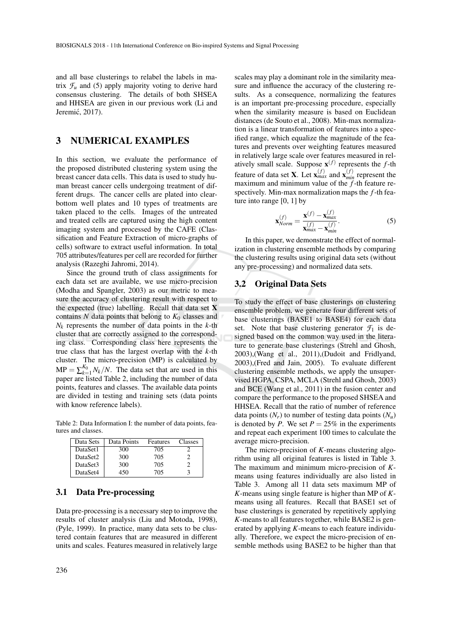and all base clusterings to relabel the labels in matrix  $\mathcal{F}_u$  and (5) apply majority voting to derive hard consensus clustering. The details of both SHSEA and HHSEA are given in our previous work (Li and Jeremić, 2017).

### 3 NUMERICAL EXAMPLES

In this section, we evaluate the performance of the proposed distributed clustering system using the breast cancer data cells. This data is used to study human breast cancer cells undergoing treatment of different drugs. The cancer cells are plated into clearbottom well plates and 10 types of treatments are taken placed to the cells. Images of the untreated and treated cells are captured using the high content imaging system and processed by the CAFE (Classification and Feature Extraction of micro-graphs of cells) software to extract useful information. In total 705 attributes/features per cell are recorded for further analysis (Razeghi Jahromi, 2014).

Since the ground truth of class assignments for each data set are available, we use micro-precision (Modha and Spangler, 2003) as our metric to measure the accuracy of clustering result with respect to the expected (true) labelling. Recall that data set X contains  $N$  data points that belong to  $K_0$  classes and *N<sup>k</sup>* represents the number of data points in the *k*-th cluster that are correctly assigned to the corresponding class. Corresponding class here represents the true class that has the largest overlap with the *k*-th cluster. The micro-precision (MP) is calculated by  $MP = \sum_{k=1}^{K_0} N_k/N$ . The data set that are used in this paper are listed Table 2, including the number of data points, features and classes. The available data points are divided in testing and training sets (data points with know reference labels).

Table 2: Data Information I: the number of data points, features and classes.

| Data Sets | Data Points | Features | Classes |
|-----------|-------------|----------|---------|
| DataSet1  | 300         | 705      |         |
| DataSet2  | 300         | 705      |         |
| DataSet3  | 300         | 705      |         |
| DataSet4  | 450         | 705      |         |

#### 3.1 Data Pre-processing

Data pre-processing is a necessary step to improve the results of cluster analysis (Liu and Motoda, 1998), (Pyle, 1999). In practice, many data sets to be clustered contain features that are measured in different units and scales. Features measured in relatively large

scales may play a dominant role in the similarity measure and influence the accuracy of the clustering results. As a consequence, normalizing the features is an important pre-processing procedure, especially when the similarity measure is based on Euclidean distances (de Souto et al., 2008). Min-max normalization is a linear transformation of features into a specified range, which equalize the magnitude of the features and prevents over weighting features measured in relatively large scale over features measured in relatively small scale. Suppose  $\mathbf{x}^{(f)}$  represents the *f*-th feature of data set **X**. Let  $\mathbf{x}_{max}^{(f)}$  and  $\mathbf{x}_{min}^{(f)}$  represent the maximum and minimum value of the *f*-th feature respectively. Min-max normalization maps the *f*-th feature into range [0, 1] by

$$
\mathbf{x}_{Norm}^{(f)} = \frac{\mathbf{x}^{(f)} - \mathbf{x}_{max}^{(f)}}{\mathbf{x}_{max}^{(f)} - \mathbf{x}_{min}^{(f)}}.
$$
 (5)

In this paper, we demonstrate the effect of normalization in clustering ensemble methods by comparing the clustering results using original data sets (without any pre-processing) and normalized data sets.

#### 3.2 Original Data Sets

x

To study the effect of base clusterings on clustering ensemble problem, we generate four different sets of base clusterings (BASE1 to BASE4) for each data set. Note that base clustering generator  $\mathcal{F}_1$  is designed based on the common way used in the literature to generate base clusterings (Strehl and Ghosh, 2003),(Wang et al., 2011),(Dudoit and Fridlyand, 2003),(Fred and Jain, 2005). To evaluate different clustering ensemble methods, we apply the unsupervised HGPA, CSPA, MCLA (Strehl and Ghosh, 2003) and BCE (Wang et al., 2011) in the fusion center and compare the performance to the proposed SHSEA and HHSEA. Recall that the ratio of number of reference data points  $(N_r)$  to number of testing data points  $(N_u)$ is denoted by *P*. We set  $P = 25\%$  in the experiments and repeat each experiment 100 times to calculate the average micro-precision.

The micro-precision of *K*-means clustering algorithm using all original features is listed in Table 3. The maximum and minimum micro-precision of *K*means using features individually are also listed in Table 3. Among all 11 data sets maximum MP of *K*-means using single feature is higher than MP of *K*means using all features. Recall that BASE1 set of base clusterings is generated by repetitively applying *K*-means to all features together, while BASE2 is generated by applying *K*-means to each feature individually. Therefore, we expect the micro-precision of ensemble methods using BASE2 to be higher than that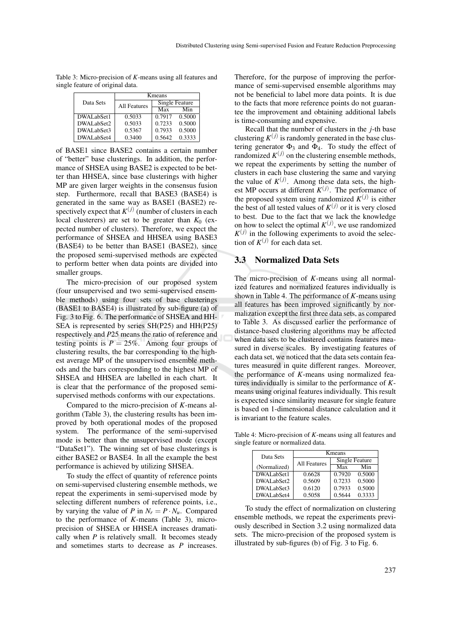Table 3: Micro-precision of *K*-means using all features and single feature of original data.

|            | Kmeans              |                |        |  |
|------------|---------------------|----------------|--------|--|
| Data Sets  | <b>All Features</b> | Single Feature |        |  |
|            |                     | Max            | Min    |  |
| DWALabSet1 | 0.5033              | 0.7917         | 0.5000 |  |
| DWALabSet2 | 0.5033              | 0.7233         | 0.5000 |  |
| DWALabSet3 | 0.5367              | 0.7933         | 0.5000 |  |
| DWALabSet4 | 0.3400              | 0.5642         | 0.3333 |  |

of BASE1 since BASE2 contains a certain number of "better" base clusterings. In addition, the performance of SHSEA using BASE2 is expected to be better than HHSEA, since base clusterings with higher MP are given larger weights in the consensus fusion step. Furthermore, recall that BASE3 (BASE4) is generated in the same way as BASE1 (BASE2) respectively expect that  $K^{(j)}$  (number of clusters in each local clusterers) are set to be greater than  $K_0$  (expected number of clusters). Therefore, we expect the performance of SHSEA and HHSEA using BASE3 (BASE4) to be better than BASE1 (BASE2), since the proposed semi-supervised methods are expected to perform better when data points are divided into smaller groups.

The micro-precision of our proposed system (four unsupervised and two semi-supervised ensemble methods) using four sets of base clusterings (BASE1 to BASE4) is illustrated by sub-figure (a) of Fig. 3 to Fig. 6. The performance of SHSEA and HH-SEA is represented by series SH(P25) and HH(P25) respectively and *P*25 means the ratio of reference and testing points is  $P = 25\%$ . Among four groups of clustering results, the bar corresponding to the highest average MP of the unsupervised ensemble methods and the bars corresponding to the highest MP of SHSEA and HHSEA are labelled in each chart. It is clear that the performance of the proposed semisupervised methods conforms with our expectations.

Compared to the micro-precision of *K*-means algorithm (Table 3), the clustering results has been improved by both operational modes of the proposed system. The performance of the semi-supervised mode is better than the unsupervised mode (except "DataSet1"). The winning set of base clusterings is either BASE2 or BASE4. In all the example the best performance is achieved by utilizing SHSEA.

To study the effect of quantity of reference points on semi-supervised clustering ensemble methods, we repeat the experiments in semi-supervised mode by selecting different numbers of reference points, i.e., by varying the value of *P* in  $N_r = P \cdot N_u$ . Compared to the performance of *K*-means (Table 3), microprecision of SHSEA or HHSEA increases dramatically when *P* is relatively small. It becomes steady and sometimes starts to decrease as *P* increases. Therefore, for the purpose of improving the performance of semi-supervised ensemble algorithms may not be beneficial to label more data points. It is due to the facts that more reference points do not guarantee the improvement and obtaining additional labels is time-consuming and expensive.

Recall that the number of clusters in the *j*-th base clustering  $K^{(j)}$  is randomly generated in the base clustering generator  $\Phi_3$  and  $\Phi_4$ . To study the effect of randomized  $K^{(j)}$  on the clustering ensemble methods, we repeat the experiments by setting the number of clusters in each base clustering the same and varying the value of  $K^{(j)}$ . Among these data sets, the highest MP occurs at different  $K^{(j)}$ . The performance of the proposed system using randomized  $K^{(j)}$  is either the best of all tested values of  $K^{(j)}$  or it is very closed to best. Due to the fact that we lack the knowledge on how to select the optimal  $K^{(j)}$ , we use randomized  $K^{(j)}$  in the following experiments to avoid the selection of  $K^{(j)}$  for each data set.

#### 3.3 Normalized Data Sets

The micro-precision of *K*-means using all normalized features and normalized features individually is shown in Table 4. The performance of *K*-means using all features has been improved significantly by normalization except the first three data sets, as compared to Table 3. As discussed earlier the performance of distance-based clustering algorithms may be affected when data sets to be clustered contains features measured in diverse scales. By investigating features of each data set, we noticed that the data sets contain features measured in quite different ranges. Moreover, the performance of *K*-means using normalized features individually is similar to the performance of *K*means using original features individually. This result is expected since similarity measure for single feature is based on 1-dimensional distance calculation and it is invariant to the feature scales.

Table 4: Micro-precision of *K*-means using all features and single feature or normalized data.

| Data Sets    | Kmeans              |                |        |  |
|--------------|---------------------|----------------|--------|--|
|              | <b>All Features</b> | Single Feature |        |  |
| (Normalized) |                     | Max            | Min    |  |
| DWALabSet1   | 0.6628              | 0.7920         | 0.5000 |  |
| DWALabSet2   | 0.5609              | 0.7233         | 0.5000 |  |
| DWALabSet3   | 0.6120              | 0.7933         | 0.5000 |  |
| DWALabSet4   | 0.5058              | 0.5644         | 0.3333 |  |

To study the effect of normalization on clustering ensemble methods, we repeat the experiments previously described in Section 3.2 using normalized data sets. The micro-precision of the proposed system is illustrated by sub-figures (b) of Fig. 3 to Fig. 6.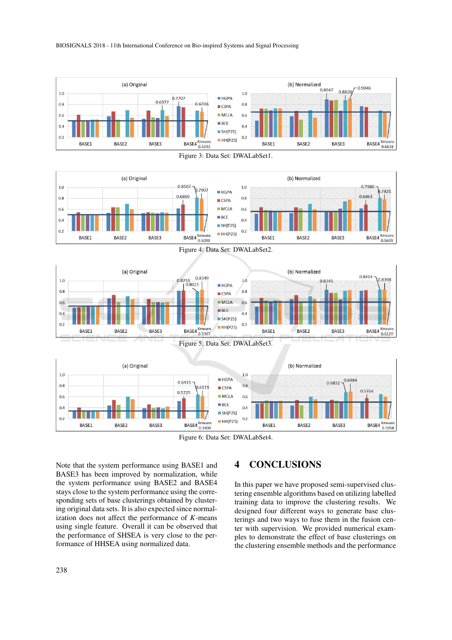







Figure 6: Data Set: DWALabSet4.

 $SH(P25)$ 

 $HH(P25)$ 

 $BCF$ 

**BASE4** Kmeans

0.3400

 $0.4$ 

 $0.2$ 

Note that the system performance using BASE1 and BASE3 has been improved by normalization, while the system performance using BASE2 and BASE4 stays close to the system performance using the corresponding sets of base clusterings obtained by clustering original data sets. It is also expected since normalization does not affect the performance of *K*-means using single feature. Overall it can be observed that the performance of SHSEA is very close to the performance of HHSEA using normalized data.

BASE3

BASE<sub>2</sub>

### 4 CONCLUSIONS

BASE1

In this paper we have proposed semi-supervised clustering ensemble algorithms based on utilizing labelled training data to improve the clustering results. We designed four different ways to generate base clusterings and two ways to fuse them in the fusion center with supervision. We provided numerical examples to demonstrate the effect of base clusterings on the clustering ensemble methods and the performance

BASE2

BASE3

**BASE4** Kmeans

0.5058

 $0.4$ 

 $0.2$ 

BASE1